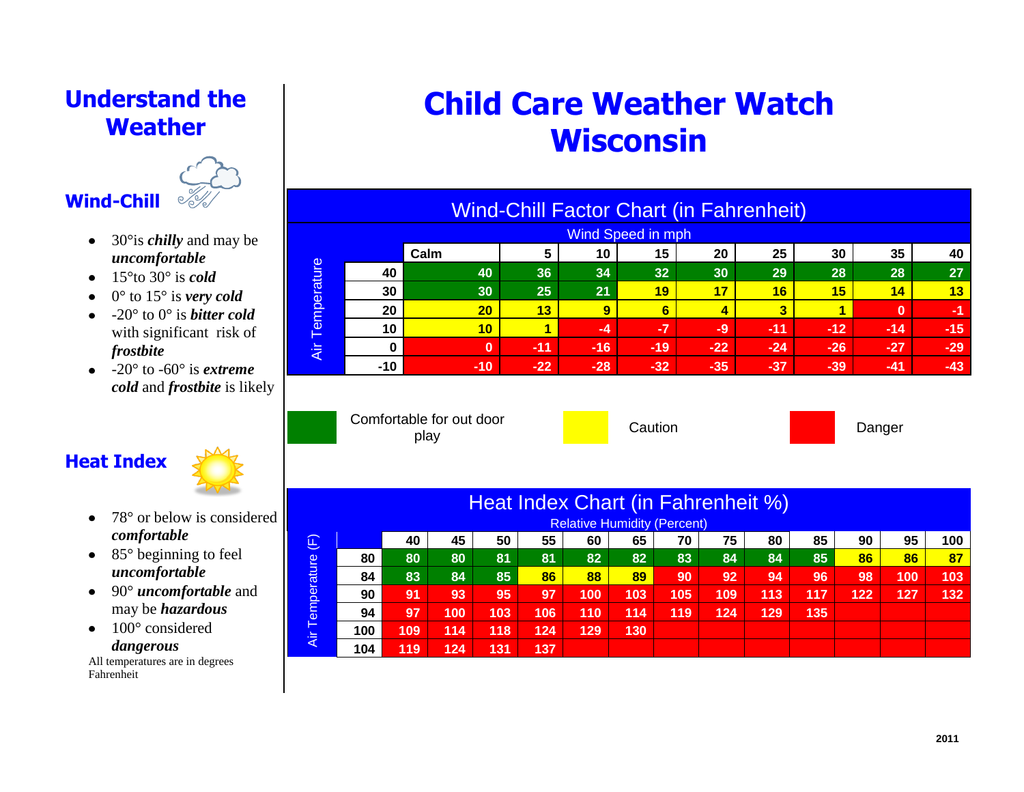## **Understand the Weather**



- 30°is *chilly* and may be  $\bullet$ *uncomfortable*
- $\bullet$  15<sup>°</sup>to 30<sup>°</sup> is *cold*
- $\bullet$  0° to 15° is *very cold*
- $\bullet$  -20 $\degree$  to 0 $\degree$  is *bitter cold* with significant risk of *frostbite*
- $\bullet$  -20 $\degree$  to -60 $\degree$  is *extreme cold* and *frostbite* is likely

## **Heat Index**



- 78° or below is considered  $\bullet$ *comfortable*
- $\bullet$  85 $\degree$  beginning to feel *uncomfortable*
- 90° *uncomfortable* and may be *hazardous*
- $\bullet$  100 $^{\circ}$  considered *dangerous*

All temperatures are in degrees Fahrenheit

# **Child Care Weather Watch Wisconsin**

| <b>Wind-Chill Factor Chart (in Fahrenheit)</b> |          |          |       |       |       |       |       |       |          |       |  |
|------------------------------------------------|----------|----------|-------|-------|-------|-------|-------|-------|----------|-------|--|
| <b>Wind Speed in mph</b>                       |          |          |       |       |       |       |       |       |          |       |  |
| Temperature<br>Äί                              |          | Calm     | 5     | 10    | 15    | 20    | 25    | 30    | 35       | 40    |  |
|                                                | 40       | 40       | 36    | 34    | 32    | 30    | 29    | 28    | 28       | 27    |  |
|                                                | 30       | 30       | 25    | 21    | 19    | 17    | 16    | 15    | 14       | 13    |  |
|                                                | 20       | 20       | 13    | 9     | 6     | 4     | 3     | 4     | $\bf{0}$ | -1    |  |
|                                                | 10       | 10       |       | $-4$  | -7    | $-9$  | $-11$ | $-12$ | $-14$    | $-15$ |  |
|                                                | $\bf{0}$ | $\bf{0}$ | $-11$ | $-16$ | $-19$ | $-22$ | $-24$ | $-26$ | $-27$    | $-29$ |  |
|                                                | $-10$    | $-10$    | $-22$ | $-28$ | $-32$ | $-35$ | $-37$ | $-39$ | $-41$    | $-43$ |  |

Comfortable for out door ne for our door<br>play by **Danger** Caution

| Heat Index Chart (in Fahrenheit %)   |     |     |     |     |     |     |     |     |     |     |     |     |     |     |
|--------------------------------------|-----|-----|-----|-----|-----|-----|-----|-----|-----|-----|-----|-----|-----|-----|
| <b>Relative Humidity (Percent)</b>   |     |     |     |     |     |     |     |     |     |     |     |     |     |     |
| $\left  \widehat{\mathbb{E}}\right $ |     | 40  | 45  | 50  | 55  | 60  | 65  | 70  | 75  | 80  | 85  | 90  | 95  | 100 |
| Temperature<br>Äίr                   | 80  | 80  | 80  | 81  | 81  | 82  | 82  | 83  | 84  | 84  | 85  | 86  | 86  | 87  |
|                                      | 84  | 83  | 84  | 85  | 86  | 88  | 89  | 90  | 92  | 94  | 96  | 98  | 100 | 103 |
|                                      | 90  | 91  | 93  | 95  | 97  | 100 | 103 | 105 | 109 | 113 | 117 | 122 | 127 | 132 |
|                                      | 94  | 97  | 100 | 103 | 106 | 110 | 114 | 119 | 124 | 129 | 135 |     |     |     |
|                                      | 100 | 109 | 114 | 118 | 124 | 129 | 130 |     |     |     |     |     |     |     |
|                                      | 104 | 119 | 124 | 131 | 137 |     |     |     |     |     |     |     |     |     |